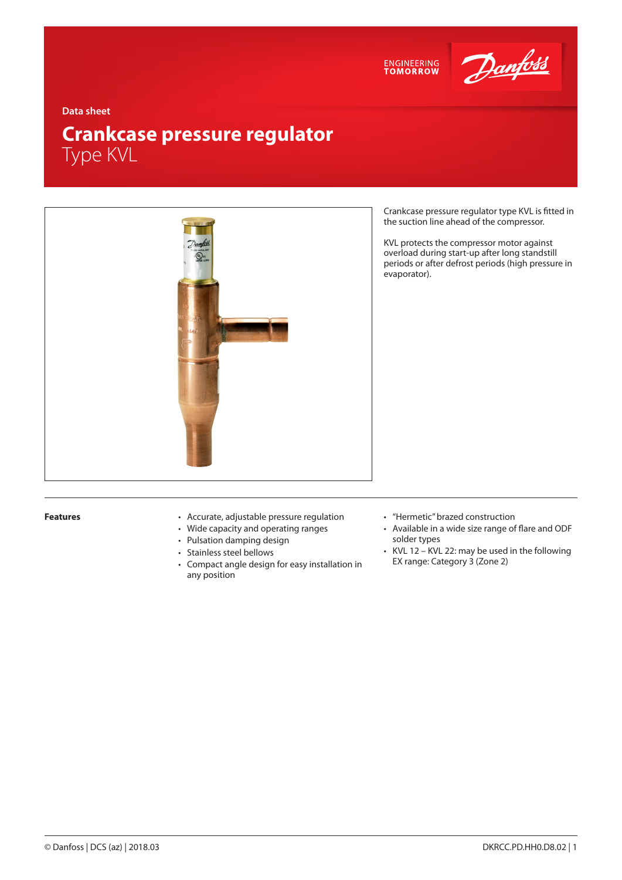



**Data sheet**

# **Crankcase pressure regulator** Type KVL



Crankcase pressure regulator type KVL is fitted in the suction line ahead of the compressor.

KVL protects the compressor motor against overload during start-up after long standstill periods or after defrost periods (high pressure in evaporator).

- **Features** Accurate, adjustable pressure regulation
	- Wide capacity and operating ranges
	- Pulsation damping design
	- Stainless steel bellows
	- Compact angle design for easy installation in any position
- "Hermetic" brazed construction
- Available in a wide size range of flare and ODF solder types
- KVL 12 KVL 22: may be used in the following EX range: Category 3 (Zone 2)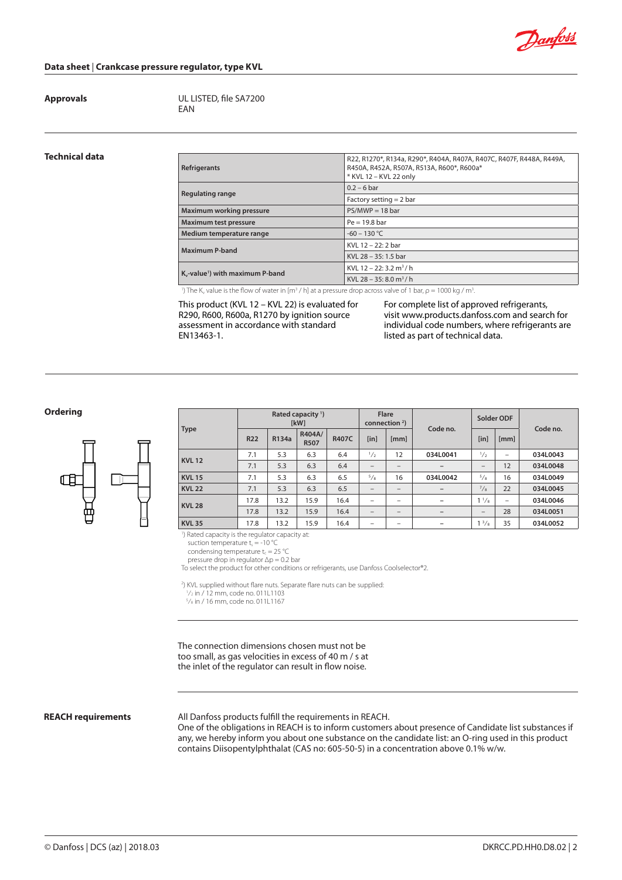

### **Data sheet** | **Crankcase pressure regulator, type KVL**

**Approvals** UL LISTED, file SA7200 EAN

# **Technical data**

| Refrigerants                                                                                                                         | R22, R1270*, R134a, R290*, R404A, R407A, R407C, R407F, R448A, R449A,<br>R450A, R452A, R507A, R513A, R600*, R600a*<br>* KVL 12 - KVL 22 only |
|--------------------------------------------------------------------------------------------------------------------------------------|---------------------------------------------------------------------------------------------------------------------------------------------|
| Regulating range                                                                                                                     | $0.2 - 6$ bar                                                                                                                               |
|                                                                                                                                      | Factory setting $= 2$ bar                                                                                                                   |
| Maximum working pressure                                                                                                             | $PS/MWP = 18$ bar                                                                                                                           |
| Maximum test pressure                                                                                                                | $Pe = 19.8$ bar                                                                                                                             |
| Medium temperature range                                                                                                             | $-60 - 130$ °C                                                                                                                              |
| Maximum P-band                                                                                                                       | KVL 12 - 22: 2 bar                                                                                                                          |
|                                                                                                                                      | KVL 28 - 35: 1.5 bar                                                                                                                        |
| K <sub>y</sub> -value <sup>1</sup> ) with maximum P-band                                                                             | KVL 12 – 22: 3.2 m <sup>3</sup> /h                                                                                                          |
|                                                                                                                                      | KVL 28 – 35: 8.0 m <sup>3</sup> /h                                                                                                          |
| $\mathcal{D} = \{ \mathcal{D} \mid \mathcal{D} \in \mathcal{D} \mid \mathcal{D} \in \mathcal{D} \mid \mathcal{D} \in \mathcal{D} \}$ |                                                                                                                                             |

<sup>1</sup>) The K<sub>v</sub> value is the flow of water in [m<sup>3</sup> / h] at a pressure drop across valve of 1 bar,  $\rho$  = 1000 kg / m<sup>3</sup>

This product (KVL 12 – KVL 22) is evaluated for R290, R600, R600a, R1270 by ignition source assessment in accordance with standard EN13463-1.

For complete list of approved refrigerants, visit www.products.danfoss.com and search for individual code numbers, where refrigerants are listed as part of technical data.

**Ordering**



| Type          |            |       | Rated capacity <sup>1</sup> )<br><b>IkW1</b> |              | <b>Flare</b><br>connection $2$ ) |                          | Code no.                 | Solder ODF               |                          | Code no. |  |
|---------------|------------|-------|----------------------------------------------|--------------|----------------------------------|--------------------------|--------------------------|--------------------------|--------------------------|----------|--|
|               | <b>R22</b> | R134a | R404A/<br><b>R507</b>                        | <b>R407C</b> | [in]                             | [mm]                     |                          | [in]                     | [mm]                     |          |  |
| <b>KVL12</b>  | 7.1        | 5.3   | 6.3                                          | 6.4          | $\frac{1}{2}$                    | 12                       | 034L0041                 | 1/2                      | -                        | 034L0043 |  |
|               | 7.1        | 5.3   | 6.3                                          | 6.4          | -                                |                          |                          | $\overline{\phantom{0}}$ | 12                       | 034L0048 |  |
| <b>KVL 15</b> | 7.1        | 5.3   | 6.3                                          | 6.5          | $^{5}/_{8}$                      | 16                       | 034L0042                 | 5/8                      | 16                       | 034L0049 |  |
| <b>KVL 22</b> | 7.1        | 5.3   | 6.3                                          | 6.5          | -                                |                          |                          | $^{7}/_8$                | 22                       | 034L0045 |  |
| <b>KVL 28</b> | 17.8       | 13.2  | 15.9                                         | 16.4         | $\overline{\phantom{0}}$         | $\overline{\phantom{0}}$ |                          | $1^{1}/_{8}$             | $\overline{\phantom{0}}$ | 034L0046 |  |
|               | 17.8       | 13.2  | 15.9                                         | 16.4         | -                                | $\overline{\phantom{0}}$ | $\overline{\phantom{0}}$ | $\overline{\phantom{0}}$ | 28                       | 034L0051 |  |
| <b>KVL 35</b> | 17.8       | 13.2  | 15.9                                         | 16.4         | -                                |                          | -                        | $1^{3}/8$                | 35                       | 034L0052 |  |

1 ) Rated capacity is the regulator capacity at:

suction temperature  $t_s = -10$   $^{\circ}$ C

condensing temperature  $t_c = 25 \text{ °C}$ 

pressure drop in regulator Δp = 0.2 bar

To select the product for other conditions or refrigerants, use Danfoss Coolselector®2.

2 ) KVL supplied without flare nuts. Separate flare nuts can be supplied:

 1 ⁄2 in / 12 mm, code no. 011L1103 5 ⁄8 in / 16 mm, code no. 011L1167

The connection dimensions chosen must not be too small, as gas velocities in excess of 40 m / s at the inlet of the regulator can result in flow noise.

#### **REACH requirements**

All Danfoss products fulfill the requirements in REACH.

One of the obligations in REACH is to inform customers about presence of Candidate list substances if any, we hereby inform you about one substance on the candidate list: an O-ring used in this product contains Diisopentylphthalat (CAS no: 605-50-5) in a concentration above 0.1% w/w.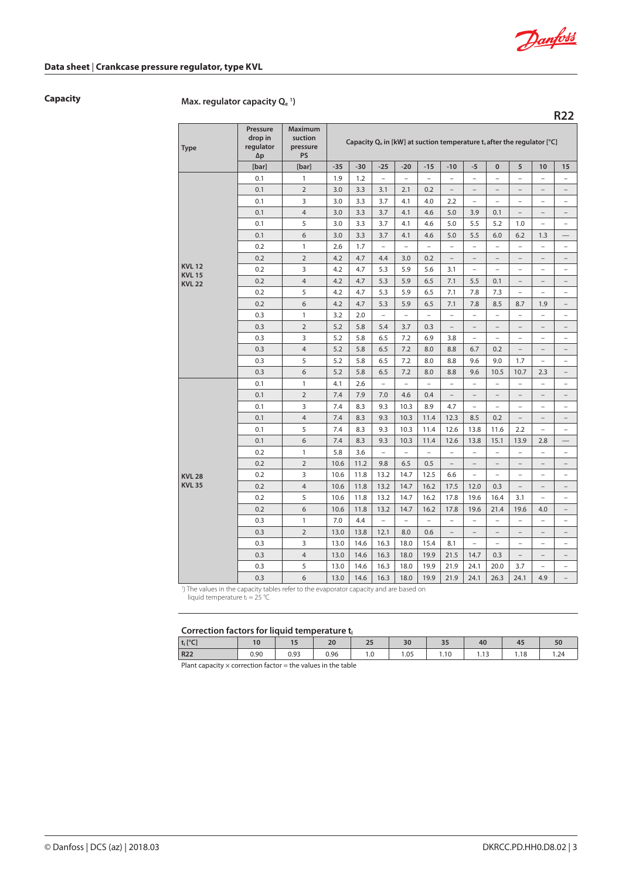

**R22**

# **Data sheet** | **Crankcase pressure regulator, type KVL**

# **Capacity Max. regulator capacity Qe <sup>1</sup> )**

| <b>Type</b>                   | Pressure<br>drop in<br>regulator<br>$\Delta p$ | <b>Maximum</b><br>suction<br>pressure<br>PS | Capacity $Q_e$ in [kW] at suction temperature t, after the regulator [ $°C$ ] |       |                          |                          |                          |                          |                          |                          |                          |                          |                          |
|-------------------------------|------------------------------------------------|---------------------------------------------|-------------------------------------------------------------------------------|-------|--------------------------|--------------------------|--------------------------|--------------------------|--------------------------|--------------------------|--------------------------|--------------------------|--------------------------|
|                               | [bar]                                          | [bar]                                       | $-35$                                                                         | $-30$ | $-25$                    | $-20$                    | $-15$                    | $-10$                    | $-5$                     | $\pmb{0}$                | 5                        | 10                       | 15                       |
|                               | 0.1                                            | $\mathbf{1}$                                | 1.9                                                                           | 1.2   | $\overline{\phantom{0}}$ | $\overline{\phantom{0}}$ | $\overline{\phantom{0}}$ | $\overline{\phantom{0}}$ | $\overline{a}$           | $\overline{\phantom{0}}$ | $\overline{\phantom{0}}$ | $\overline{\phantom{0}}$ | $\overline{\phantom{0}}$ |
|                               | 0.1                                            | $\overline{2}$                              | 3.0                                                                           | 3.3   | 3.1                      | 2.1                      | 0.2                      | $\overline{\phantom{0}}$ | $\overline{\phantom{a}}$ | $\overline{a}$           | $\overline{\phantom{0}}$ | $\overline{\phantom{0}}$ | $\overline{\phantom{0}}$ |
|                               | 0.1                                            | 3                                           | 3.0                                                                           | 3.3   | 3.7                      | 4.1                      | 4.0                      | 2.2                      | $\overline{a}$           | $\overline{a}$           | $\overline{a}$           | $\overline{a}$           | $\overline{a}$           |
|                               | 0.1                                            | $\overline{4}$                              | 3.0                                                                           | 3.3   | 3.7                      | 4.1                      | 4.6                      | 5.0                      | 3.9                      | 0.1                      | $\overline{\phantom{0}}$ | $\overline{a}$           | $\overline{a}$           |
|                               | 0.1                                            | 5                                           | 3.0                                                                           | 3.3   | 3.7                      | 4.1                      | 4.6                      | 5.0                      | 5.5                      | 5.2                      | 1.0                      | $\qquad \qquad -$        | $\overline{\phantom{0}}$ |
|                               | 0.1                                            | 6                                           | 3.0                                                                           | 3.3   | 3.7                      | 4.1                      | 4.6                      | 5.0                      | 5.5                      | 6.0                      | 6.2                      | 1.3                      |                          |
|                               | 0.2                                            | $\mathbf{1}$                                | 2.6                                                                           | 1.7   | $\overline{\phantom{0}}$ | $\overline{\phantom{a}}$ | $\overline{\phantom{a}}$ | $\overline{\phantom{a}}$ | $\overline{\phantom{0}}$ | $\overline{\phantom{0}}$ | $\overline{\phantom{0}}$ | $\overline{\phantom{0}}$ | $\overline{a}$           |
|                               | 0.2                                            | $\overline{2}$                              | 4.2                                                                           | 4.7   | 4.4                      | 3.0                      | 0.2                      | $\overline{\phantom{a}}$ | $\overline{\phantom{a}}$ | $\overline{\phantom{0}}$ | $\overline{a}$           | $\overline{\phantom{0}}$ | $\overline{\phantom{0}}$ |
| <b>KVL12</b><br><b>KVL 15</b> | 0.2                                            | 3                                           | 4.2                                                                           | 4.7   | 5.3                      | 5.9                      | 5.6                      | 3.1                      | $\overline{\phantom{0}}$ | $\overline{a}$           | $\qquad \qquad -$        | $\overline{a}$           | $\overline{\phantom{0}}$ |
| <b>KVL 22</b>                 | 0.2                                            | $\overline{4}$                              | 4.2                                                                           | 4.7   | 5.3                      | 5.9                      | 6.5                      | 7.1                      | 5.5                      | 0.1                      | $\overline{a}$           |                          | $\overline{\phantom{0}}$ |
|                               | 0.2                                            | 5                                           | 4.2                                                                           | 4.7   | 5.3                      | 5.9                      | 6.5                      | 7.1                      | 7.8                      | 7.3                      | $\overline{\phantom{0}}$ | $\overline{\phantom{0}}$ | $\overline{\phantom{0}}$ |
|                               | 0.2                                            | 6                                           | 4.2                                                                           | 4.7   | 5.3                      | 5.9                      | 6.5                      | 7.1                      | 7.8                      | 8.5                      | 8.7                      | 1.9                      | $\overline{\phantom{0}}$ |
|                               | 0.3                                            | $\mathbf{1}$                                | 3.2                                                                           | 2.0   | $\overline{\phantom{0}}$ | $\overline{\phantom{0}}$ | $\overline{\phantom{0}}$ | $\overline{a}$           | $\overline{\phantom{0}}$ | $\overline{\phantom{0}}$ | $\overline{\phantom{0}}$ | $\overline{\phantom{0}}$ | $\overline{\phantom{0}}$ |
|                               | 0.3                                            | $\overline{2}$                              | 5.2                                                                           | 5.8   | 5.4                      | 3.7                      | 0.3                      | $\overline{\phantom{a}}$ | $\overline{\phantom{a}}$ | $\overline{\phantom{a}}$ | $\qquad \qquad -$        | $\overline{\phantom{0}}$ | $\overline{\phantom{0}}$ |
|                               | 0.3                                            | 3                                           | 5.2                                                                           | 5.8   | 6.5                      | 7.2                      | 6.9                      | 3.8                      | $\overline{a}$           | $\overline{\phantom{a}}$ | $\overline{\phantom{0}}$ | $\overline{\phantom{0}}$ | $\overline{a}$           |
|                               | 0.3                                            | $\overline{4}$                              | 5.2                                                                           | 5.8   | 6.5                      | 7.2                      | 8.0                      | 8.8                      | 6.7                      | 0.2                      | $\qquad \qquad -$        | $\overline{\phantom{0}}$ | $\overline{\phantom{0}}$ |
|                               | 0.3                                            | 5                                           | 5.2                                                                           | 5.8   | 6.5                      | 7.2                      | 8.0                      | 8.8                      | 9.6                      | 9.0                      | 1.7                      | $\overline{a}$           | $\overline{a}$           |
|                               | 0.3                                            | 6                                           | 5.2                                                                           | 5.8   | 6.5                      | 7.2                      | 8.0                      | 8.8                      | 9.6                      | 10.5                     | 10.7                     | 2.3                      | $\overline{\phantom{0}}$ |
|                               | 0.1                                            | $\mathbf{1}$                                | 4.1                                                                           | 2.6   | $\overline{a}$           | $\overline{a}$           | $\overline{a}$           | $\overline{\phantom{a}}$ | $\overline{a}$           | $\overline{\phantom{a}}$ | $\overline{a}$           | $\overline{a}$           | $\overline{a}$           |
|                               | 0.1                                            | $\overline{2}$                              | 7.4                                                                           | 7.9   | 7.0                      | 4.6                      | 0.4                      | $\qquad \qquad -$        | $\qquad \qquad -$        | $\qquad \qquad -$        | $\overline{\phantom{0}}$ | $\overline{\phantom{0}}$ | $\overline{\phantom{0}}$ |
|                               | 0.1                                            | 3                                           | 7.4                                                                           | 8.3   | 9.3                      | 10.3                     | 8.9                      | 4.7                      | $\overline{a}$           | $\overline{\phantom{a}}$ | $\overline{\phantom{a}}$ | $\overline{a}$           | $\overline{a}$           |
|                               | 0.1                                            | $\overline{4}$                              | 7.4                                                                           | 8.3   | 9.3                      | 10.3                     | 11.4                     | 12.3                     | 8.5                      | 0.2                      | $\overline{\phantom{a}}$ | $\qquad \qquad -$        | $\qquad \qquad -$        |
|                               | 0.1                                            | 5                                           | 7.4                                                                           | 8.3   | 9.3                      | 10.3                     | 11.4                     | 12.6                     | 13.8                     | 11.6                     | 2.2                      | $\overline{\phantom{0}}$ | $\overline{a}$           |
|                               | 0.1                                            | 6                                           | 7.4                                                                           | 8.3   | 9.3                      | 10.3                     | 11.4                     | 12.6                     | 13.8                     | 15.1                     | 13.9                     | 2.8                      |                          |
|                               | 0.2                                            | 1                                           | 5.8                                                                           | 3.6   | $\qquad \qquad -$        | $\overline{\phantom{0}}$ | $\overline{\phantom{0}}$ | $\overline{\phantom{0}}$ | $\overline{\phantom{0}}$ | $\overline{\phantom{0}}$ | $\overline{\phantom{0}}$ | $\overline{\phantom{0}}$ | $\overline{a}$           |
|                               | 0.2                                            | $\overline{2}$                              | 10.6                                                                          | 11.2  | 9.8                      | 6.5                      | 0.5                      | $\overline{\phantom{0}}$ | $\overline{a}$           | $\overline{\phantom{0}}$ | $\overline{a}$           | $\overline{a}$           | $\overline{a}$           |
| <b>KVL 28</b>                 | 0.2                                            | 3                                           | 10.6                                                                          | 11.8  | 13.2                     | 14.7                     | 12.5                     | 6.6                      | $\overline{\phantom{a}}$ | $\qquad \qquad -$        | $\overline{a}$           | $\overline{\phantom{0}}$ | $\overline{\phantom{0}}$ |
| <b>KVL 35</b>                 | 0.2                                            | $\overline{4}$                              | 10.6                                                                          | 11.8  | 13.2                     | 14.7                     | 16.2                     | 17.5                     | 12.0                     | 0.3                      | $\qquad \qquad -$        | $\overline{a}$           | $\overline{a}$           |
|                               | 0.2                                            | 5                                           | 10.6                                                                          | 11.8  | 13.2                     | 14.7                     | 16.2                     | 17.8                     | 19.6                     | 16.4                     | 3.1                      | $\overline{\phantom{a}}$ | $\overline{\phantom{0}}$ |
|                               | 0.2                                            | 6                                           | 10.6                                                                          | 11.8  | 13.2                     | 14.7                     | 16.2                     | 17.8                     | 19.6                     | 21.4                     | 19.6                     | 4.0                      | $\overline{a}$           |
|                               | 0.3                                            | $\mathbf{1}$                                | 7.0                                                                           | 4.4   | $\overline{a}$           | $\overline{a}$           | $\overline{a}$           | $\overline{\phantom{0}}$ | $\overline{\phantom{0}}$ | $\overline{a}$           | $\overline{a}$           | $\qquad \qquad -$        | $\overline{\phantom{0}}$ |
|                               | 0.3                                            | $\overline{2}$                              | 13.0                                                                          | 13.8  | 12.1                     | 8.0                      | 0.6                      | $\overline{a}$           | $\overline{\phantom{a}}$ |                          | $\overline{a}$           |                          | $\overline{\phantom{0}}$ |
|                               | 0.3                                            | 3                                           | 13.0                                                                          | 14.6  | 16.3                     | 18.0                     | 15.4                     | 8.1                      | $\overline{a}$           | $\overline{a}$           | $\overline{a}$           | $\overline{a}$           | $\overline{\phantom{0}}$ |
|                               | 0.3                                            | $\overline{4}$                              | 13.0                                                                          | 14.6  | 16.3                     | 18.0                     | 19.9                     | 21.5                     | 14.7                     | 0.3                      | $\overline{a}$           | $\overline{\phantom{0}}$ | $\overline{\phantom{0}}$ |
|                               | 0.3                                            | 5                                           | 13.0                                                                          | 14.6  | 16.3                     | 18.0                     | 19.9                     | 21.9                     | 24.1                     | 20.0                     | 3.7                      | $\overline{a}$           | $\overline{a}$           |
|                               | 0.3                                            | 6                                           | 13.0                                                                          | 14.6  | 16.3                     | 18.0                     | 19.9                     | 21.9                     | 24.1                     | 26.3                     | 24.1                     | 4.9                      | $\overline{\phantom{0}}$ |

<sup>1</sup>) The values in the capacity tables refer to the evaporator capacity and are based on

liquid temperature  $t_1 = 25$  °C

#### Correction factors for liquid temperature to

|                  | concealor ractors for ingens temperature of |               |              |                     |      |                     |      |      |     |  |  |  |  |
|------------------|---------------------------------------------|---------------|--------------|---------------------|------|---------------------|------|------|-----|--|--|--|--|
| $t_1[^{\circ}C]$ |                                             | $\sim$ $\sim$ | $\sim$<br>zu | $\sim$ $\sim$<br>ــ | 30   | $\sim$ $\sim$<br>رر | 40   | 45   |     |  |  |  |  |
| <b>R22</b>       | 0.90                                        | 0.93          | 0.96         | IJ.                 | 1.05 | .10                 | ر ۱۰ | l.18 | .24 |  |  |  |  |
| $-1$             |                                             |               | .            |                     |      |                     |      |      |     |  |  |  |  |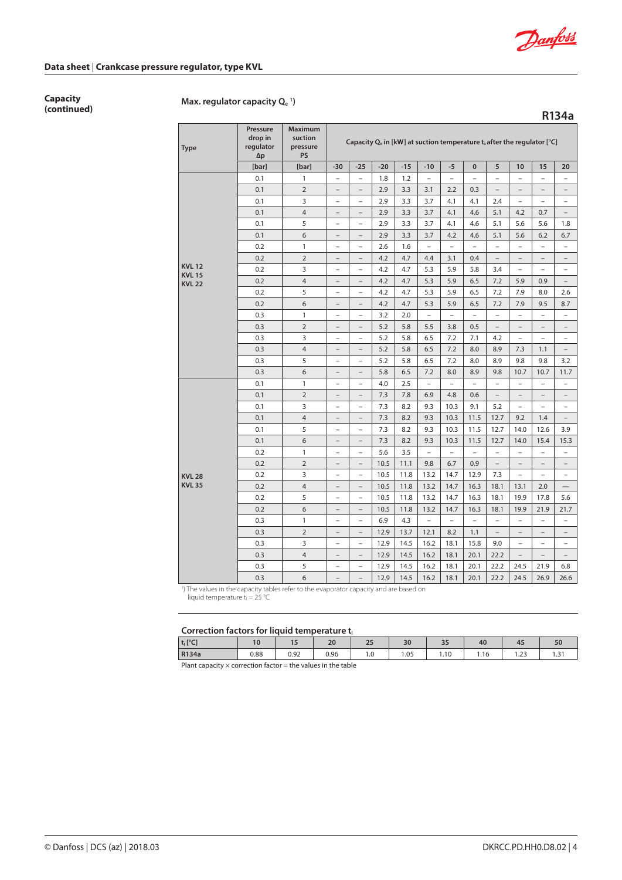

**R134a**

### **Data sheet** | **Crankcase pressure regulator, type KVL**

**Capacity**

# **(continued) Max. regulator capacity Qe <sup>1</sup> )**

**Type Pressure drop in regulator ∆p Maximum suction pressure PS** Capacity Q<sub>e</sub> in [kW] at suction temperature t<sub>s</sub> after the regulator [°C] **[bar] [bar] -30 -25 -20 -15 -10 -5 0 5 10 15 20 KVL 12 KVL 15 KVL 22** 0.1 | 1 | – | – | 1.8 | 1.2 | – | – | – | – | – | – | – 0.1 2 – – 2.9 3.3 3.1 2.2 0.3 – – – – 0.1 3 – – 2.9 3.3 3.7 4.1 4.1 2.4 – – – 0.1 4 – – 2.9 3.3 3.7 4.1 4.6 5.1 4.2 0.7 – 0.1 5 – – 2.9 3.3 3.7 4.1 4.6 5.1 5.6 5.6 1.8 0.1 6 – – 2.9 3.3 3.7 4.2 4.6 5.1 5.6 6.2 6.7 0.2 | 1 | – | – | 2.6 | 1.6 | – | – | – | – | – | – | – 0.2  $\begin{vmatrix} 2 & | & -| & -| & 4.2 & | & 4.7 & | & 4.4 & | & 3.1 & | & 0.4 & | & -| & -| & -| & -| & - \end{vmatrix}$ 0.2 | 3 | – | – | 4.2 | 4.7 | 5.3 | 5.9 | 5.8 | 3.4 | – | – | – 0.2  $\vert$  4  $\vert$  -  $\vert$  -  $\vert$  4.2  $\vert$  4.7  $\vert$  5.3  $\vert$  5.9  $\vert$  6.5  $\vert$  7.2  $\vert$  5.9  $\vert$  0.9  $\vert$  -0.2  $\vert$  5  $\vert$  –  $\vert$  –  $\vert$  4.2  $\vert$  4.7  $\vert$  5.3  $\vert$  5.9  $\vert$  6.5  $\vert$  7.2  $\vert$  7.9  $\vert$  8.0  $\vert$  2.6 0.2 | 6 | – | – | 4.2 | 4.7 | 5.3 | 5.9 | 6.5 | 7.2 | 7.9 | 9.5 | 8.7 0.3 | 1 | – | – | 3.2 | 2.0 | – | – | – | – | – | – | – 0.3  $\vert$  2  $\vert$  –  $\vert$  –  $\vert$  5.2  $\vert$  5.8  $\vert$  5.5  $\vert$  3.8  $\vert$  0.5  $\vert$  –  $\vert$  –  $\vert$  –  $\vert$  – 0.3  $\vert$  3  $\vert$  –  $\vert$  –  $\vert$  5.2  $\vert$  5.8  $\vert$  6.5  $\vert$  7.2  $\vert$  7.1  $\vert$  4.2  $\vert$  –  $\vert$  –  $\vert$  – 0.3  $\vert$  4  $\vert$  –  $\vert$  –  $\vert$  5.2  $\vert$  5.8  $\vert$  6.5  $\vert$  7.2  $\vert$  8.0  $\vert$  8.9  $\vert$  7.3  $\vert$  1.1  $\vert$  – 0.3  $\vert$  5  $\vert$  -  $\vert$  -  $\vert$  5.2  $\vert$  5.8  $\vert$  6.5  $\vert$  7.2  $\vert$  8.0  $\vert$  8.9  $\vert$  9.8  $\vert$  9.8  $\vert$  3.2 0.3  $\vert$  6  $\vert$  -  $\vert$  -  $\vert$  5.8  $\vert$  6.5  $\vert$  7.2  $\vert$  8.0  $\vert$  8.9  $\vert$  9.8  $\vert$  10.7  $\vert$  10.7  $\vert$  11.7 **KVL 28 KVL 35** 0.1 | 1 | – | – | 4.0 | 2.5 | – | – | – | – | – | – | – 0.1 2 – – 7.3 7.8 6.9 4.8 0.6 – – – – 0.1 3 – – 7.3 8.2 9.3 10.3 9.1 5.2 – – – 0.1 | 4 | – | – | 7.3 | 8.2 | 9.3 | 10.3 | 11.5 | 12.7 | 9.2 | 1.4 | – 0.1 | 5 | – | – | 7.3 | 8.2 | 9.3 | 10.3 | 11.5 | 12.7 | 14.0 | 12.6 | 3.9 0.1 | 6 | – | – | 7.3 | 8.2 | 9.3 | 10.3 | 11.5 | 12.7 | 14.0 | 15.4 | 15.3 0.2 | 1 | – | – | 5.6 | 3.5 | – | – | – | – | – | – | – 0.2  $\vert$  2  $\vert$  -  $\vert$  -  $\vert$  10.5  $\vert$  11.1  $\vert$  9.8  $\vert$  6.7  $\vert$  0.9  $\vert$  -  $\vert$  -  $\vert$  -  $\vert$  -0.2  $\vert$  3  $\vert$  –  $\vert$  –  $\vert$  10.5  $\vert$  11.8  $\vert$  13.2  $\vert$  14.7  $\vert$  12.9  $\vert$  7.3  $\vert$  –  $\vert$  –  $\vert$  – 0.2  $\vert$  4  $\vert$  –  $\vert$  –  $\vert$  10.5  $\vert$  11.8  $\vert$  13.2  $\vert$  14.7  $\vert$  16.3  $\vert$  18.1  $\vert$  13.1  $\vert$  2.0  $\vert$   $\vert$   $\vert$ 0.2  $\vert$  5  $\vert$  -  $\vert$  -  $\vert$  10.5 | 11.8 | 13.2 | 14.7 | 16.3 | 18.1 | 19.9 | 17.8 | 5.6 0.2  $\vert$  6  $\vert$  -  $\vert$  -  $\vert$  10.5 | 11.8 | 13.2 | 14.7 | 16.3 | 18.1 | 19.9 | 21.9 | 21.7 0.3 | 1 | – | – | 6.9 | 4.3 | – | – | – | – | – | – | – 0.3  $\begin{vmatrix} 2 \\ 1 \end{vmatrix}$  –  $\begin{vmatrix} -1 \\ -1 \end{vmatrix}$  12.9  $\begin{vmatrix} 13.7 \\ 12.1 \end{vmatrix}$  8.2  $\begin{vmatrix} 1.1 \\ 1.1 \end{vmatrix}$  –  $\begin{vmatrix} -1 \\ -1 \end{vmatrix}$  – 0.3  $\vert$  3  $\vert$  –  $\vert$  –  $\vert$  12.9 | 14.5 | 16.2 | 18.1 | 15.8 | 9.0 | – | – | – 0.3  $\vert$  4  $\vert$  –  $\vert$  –  $\vert$  12.9 | 14.5 | 16.2 | 18.1 | 20.1 | 22.2 | – | – | – 0.3  $\vert$  5  $\vert$  -  $\vert$  -  $\vert$  12.9 | 14.5 | 16.2 | 18.1 | 20.1 | 22.2 | 24.5 | 21.9 | 6.8 0.3  $\vert$  6  $\vert$  -  $\vert$  -  $\vert$  12.9 | 14.5 | 16.2 | 18.1 | 20.1 | 22.2 | 24.5 | 26.6 | 26.6

<sup>1</sup>) The values in the capacity tables refer to the evaporator capacity and are based on

liquid temperature  $t_1 = 25$  °C

#### **Correction factors for liquid temperature to**

| CONCERTIVE RECORD TON INQUISITE CHIPCITAL CHI |      |      |      |     |     |      |      |                         |     |
|-----------------------------------------------|------|------|------|-----|-----|------|------|-------------------------|-----|
| $\mathbf{t}_{\text{L}}$ [°C]                  | 10   |      | 20   | --  | 30  | 35   | 40   | 45                      | ov  |
| R <sub>134a</sub>                             | 0.88 | 0.92 | 0.96 | 1.U | .05 | l.10 | l.16 | $\mathcal{L}$<br>ت که ا | ا ب |
| $-1$                                          |      |      | .    |     |     |      |      |                         |     |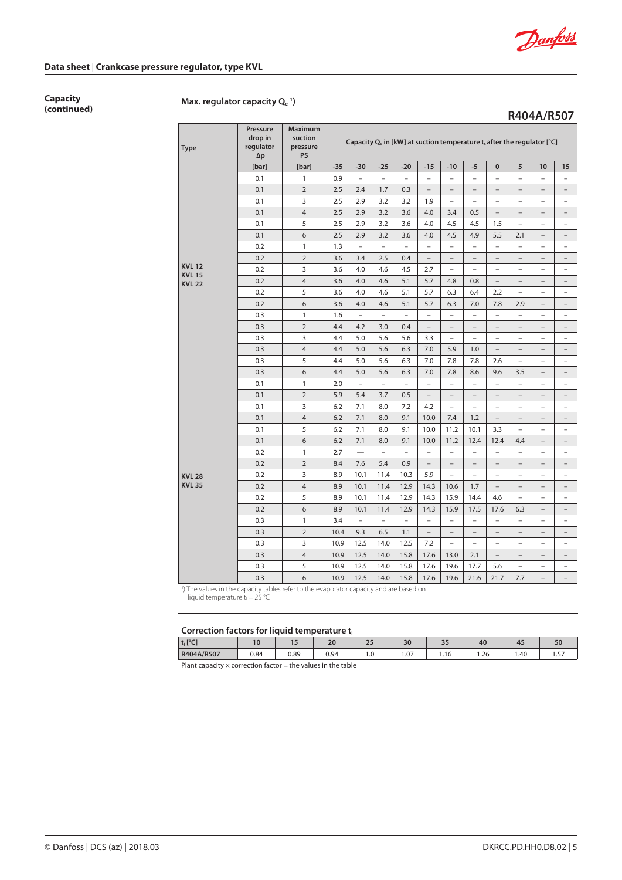

**R404A/R507**

# **Data sheet** | **Crankcase pressure regulator, type KVL**

**Capacity**

# **(continued) Max. regulator capacity Qe <sup>1</sup> )**

| <b>Type</b>                  | Pressure<br>drop in<br>regulator<br>$\Delta p$ | <b>Maximum</b><br>suction<br>pressure<br><b>PS</b> | Capacity Q <sub>e</sub> in [kW] at suction temperature t, after the regulator [°C] |                          |                          |                          |                          |                          |                          |                          |                          |                          |                          |
|------------------------------|------------------------------------------------|----------------------------------------------------|------------------------------------------------------------------------------------|--------------------------|--------------------------|--------------------------|--------------------------|--------------------------|--------------------------|--------------------------|--------------------------|--------------------------|--------------------------|
|                              | [bar]                                          | [bar]                                              | $-35$                                                                              | $-30$                    | $-25$                    | $-20$                    | $-15$                    | $-10$                    | $-5$                     | $\pmb{0}$                | 5                        | 10                       | 15                       |
|                              | 0.1                                            | $\mathbf{1}$                                       | 0.9                                                                                | $\overline{\phantom{0}}$ | $\overline{\phantom{0}}$ | $\overline{a}$           | $\overline{a}$           | $\overline{a}$           | $\overline{\phantom{0}}$ | $\overline{a}$           | $\overline{a}$           | $\overline{\phantom{0}}$ | $\overline{\phantom{0}}$ |
|                              | 0.1                                            | $\overline{2}$                                     | 2.5                                                                                | 2.4                      | 1.7                      | 0.3                      | $\overline{a}$           | $\overline{\phantom{0}}$ | $\overline{\phantom{0}}$ | $\overline{\phantom{0}}$ | $\overline{\phantom{0}}$ | $\overline{\phantom{0}}$ | $\overline{\phantom{0}}$ |
|                              | 0.1                                            | 3                                                  | 2.5                                                                                | 2.9                      | 3.2                      | 3.2                      | 1.9                      | $\overline{a}$           | $\overline{a}$           | $\overline{a}$           | $\overline{a}$           | $\overline{a}$           | $\overline{a}$           |
|                              | 0.1                                            | $\overline{4}$                                     | 2.5                                                                                | 2.9                      | 3.2                      | 3.6                      | 4.0                      | 3.4                      | 0.5                      | $\overline{\phantom{a}}$ | $\overline{a}$           | $\overline{\phantom{0}}$ | $\overline{a}$           |
|                              | 0.1                                            | 5                                                  | 2.5                                                                                | 2.9                      | 3.2                      | 3.6                      | 4.0                      | 4.5                      | 4.5                      | 1.5                      | $\qquad \qquad -$        | $\overline{a}$           | $\overline{a}$           |
|                              | 0.1                                            | 6                                                  | 2.5                                                                                | 2.9                      | 3.2                      | 3.6                      | 4.0                      | 4.5                      | 4.9                      | 5.5                      | 2.1                      | $\overline{a}$           | $\overline{a}$           |
|                              | 0.2                                            | $\mathbf{1}$                                       | 1.3                                                                                | $\overline{\phantom{0}}$ | $\overline{\phantom{0}}$ | $\overline{\phantom{0}}$ | $\overline{\phantom{0}}$ | $\overline{a}$           | $\overline{a}$           | $\overline{\phantom{0}}$ | $\overline{\phantom{0}}$ | $\overline{\phantom{a}}$ | $\qquad \qquad -$        |
|                              | 0.2                                            | $\overline{2}$                                     | 3.6                                                                                | 3.4                      | 2.5                      | 0.4                      | $\qquad \qquad -$        | $\overline{a}$           | $\overline{\phantom{0}}$ | $\overline{\phantom{0}}$ | $\overline{a}$           | $\overline{a}$           | $\overline{\phantom{0}}$ |
| <b>KVL12</b><br><b>KVL15</b> | 0.2                                            | 3                                                  | 3.6                                                                                | 4.0                      | 4.6                      | 4.5                      | 2.7                      | $\overline{\phantom{0}}$ | $\qquad \qquad -$        | $\overline{\phantom{0}}$ | $\overline{a}$           | $\overline{a}$           | $\overline{\phantom{0}}$ |
| <b>KVL 22</b>                | 0.2                                            | $\overline{4}$                                     | 3.6                                                                                | 4.0                      | 4.6                      | 5.1                      | 5.7                      | 4.8                      | 0.8                      |                          | $\overline{\phantom{0}}$ |                          | $\overline{\phantom{0}}$ |
|                              | 0.2                                            | 5                                                  | 3.6                                                                                | 4.0                      | 4.6                      | 5.1                      | 5.7                      | 6.3                      | 6.4                      | 2.2                      | $\overline{\phantom{0}}$ | $\overline{a}$           | $\overline{a}$           |
|                              | 0.2                                            | 6                                                  | 3.6                                                                                | 4.0                      | 4.6                      | 5.1                      | 5.7                      | 6.3                      | 7.0                      | 7.8                      | 2.9                      | $\overline{\phantom{0}}$ | $\overline{\phantom{0}}$ |
|                              | 0.3                                            | $\mathbf{1}$                                       | 1.6                                                                                | $\overline{\phantom{0}}$ | $\overline{\phantom{0}}$ | $\overline{a}$           | $\overline{a}$           | $\overline{a}$           | $\overline{a}$           | $\overline{\phantom{a}}$ | $\overline{a}$           | $\overline{a}$           | $\overline{\phantom{a}}$ |
|                              | 0.3                                            | $\overline{2}$                                     | 4.4                                                                                | 4.2                      | 3.0                      | 0.4                      | $\overline{\phantom{0}}$ | $\overline{a}$           | $\qquad \qquad -$        | $\overline{a}$           | $\qquad \qquad -$        | $\qquad \qquad -$        | $\qquad \qquad -$        |
|                              | 0.3                                            | 3                                                  | 4.4                                                                                | 5.0                      | 5.6                      | 5.6                      | 3.3                      | $\overline{a}$           | $\overline{\phantom{0}}$ | $\overline{a}$           | $\overline{\phantom{0}}$ | $\overline{\phantom{a}}$ | $\overline{\phantom{a}}$ |
|                              | 0.3                                            | $\overline{4}$                                     | 4.4                                                                                | 5.0                      | 5.6                      | 6.3                      | 7.0                      | 5.9                      | 1.0                      | $\overline{a}$           | $\qquad \qquad -$        | $\qquad \qquad -$        | $\overline{\phantom{a}}$ |
|                              | 0.3                                            | 5                                                  | 4.4                                                                                | 5.0                      | 5.6                      | 6.3                      | 7.0                      | 7.8                      | 7.8                      | 2.6                      | $\overline{\phantom{0}}$ | $\overline{\phantom{a}}$ | $\overline{a}$           |
|                              | 0.3                                            | 6                                                  | 4.4                                                                                | 5.0                      | 5.6                      | 6.3                      | 7.0                      | 7.8                      | 8.6                      | 9.6                      | 3.5                      | $\overline{a}$           | $\overline{\phantom{0}}$ |
|                              | 0.1                                            | $\mathbf{1}$                                       | 2.0                                                                                | $\overline{\phantom{0}}$ | $\overline{\phantom{a}}$ | $\overline{\phantom{0}}$ | $\overline{a}$           | $\overline{a}$           | $\overline{a}$           | $\overline{a}$           | $\overline{\phantom{0}}$ | $\overline{a}$           | $\overline{a}$           |
|                              | 0.1                                            | $\overline{2}$                                     | 5.9                                                                                | 5.4                      | 3.7                      | 0.5                      | $\qquad \qquad -$        | $\qquad \qquad -$        | $\overline{\phantom{a}}$ | $\overline{\phantom{0}}$ | $\qquad \qquad -$        | $\qquad \qquad -$        | $\overline{\phantom{a}}$ |
|                              | 0.1                                            | 3                                                  | 6.2                                                                                | 7.1                      | 8.0                      | 7.2                      | 4.2                      | $\overline{a}$           | $\overline{a}$           | $\overline{\phantom{0}}$ | $\overline{\phantom{0}}$ | $\overline{\phantom{0}}$ | $\overline{\phantom{0}}$ |
|                              | 0.1                                            | $\overline{4}$                                     | 6.2                                                                                | 7.1                      | 8.0                      | 9.1                      | 10.0                     | 7.4                      | 1.2                      | $\overline{a}$           | $\overline{\phantom{0}}$ | $\overline{\phantom{0}}$ | $\overline{\phantom{0}}$ |
|                              | 0.1                                            | 5                                                  | 6.2                                                                                | 7.1                      | 8.0                      | 9.1                      | 10.0                     | 11.2                     | 10.1                     | 3.3                      | $\overline{\phantom{0}}$ | $\overline{a}$           | $\overline{a}$           |
|                              | 0.1                                            | 6                                                  | 6.2                                                                                | 7.1                      | 8.0                      | 9.1                      | 10.0                     | 11.2                     | 12.4                     | 12.4                     | 4.4                      | $\qquad \qquad -$        | $\overline{\phantom{0}}$ |
|                              | 0.2                                            | $\mathbf{1}$                                       | 2.7                                                                                | $\overline{\phantom{0}}$ | $\overline{a}$           | $\overline{a}$           | $\overline{a}$           | $\overline{a}$           | $\overline{a}$           | $\overline{a}$           | $\overline{a}$           | $\overline{a}$           | $\overline{a}$           |
|                              | 0.2                                            | $\overline{2}$                                     | 8.4                                                                                | 7.6                      | 5.4                      | 0.9                      | $\overline{a}$           |                          | $\overline{a}$           |                          | $\overline{\phantom{0}}$ |                          | $\overline{\phantom{0}}$ |
| <b>KVL 28</b>                | 0.2                                            | 3                                                  | 8.9                                                                                | 10.1                     | 11.4                     | 10.3                     | 5.9                      |                          | $\overline{\phantom{a}}$ | $\overline{\phantom{0}}$ | $\overline{\phantom{0}}$ | $\overline{\phantom{0}}$ | $\overline{\phantom{0}}$ |
| <b>KVL 35</b>                | 0.2                                            | $\overline{4}$                                     | 8.9                                                                                | 10.1                     | 11.4                     | 12.9                     | 14.3                     | 10.6                     | 1.7                      | $\qquad \qquad -$        | $\overline{\phantom{0}}$ | $\overline{\phantom{0}}$ | $\overline{\phantom{0}}$ |
|                              | 0.2                                            | 5                                                  | 8.9                                                                                | 10.1                     | 11.4                     | 12.9                     | 14.3                     | 15.9                     | 14.4                     | 4.6                      | $\overline{\phantom{0}}$ | $\overline{\phantom{0}}$ | $\qquad \qquad -$        |
|                              | 0.2                                            | 6                                                  | 8.9                                                                                | 10.1                     | 11.4                     | 12.9                     | 14.3                     | 15.9                     | 17.5                     | 17.6                     | 6.3                      | $\overline{\phantom{a}}$ | $\overline{\phantom{a}}$ |
|                              | 0.3                                            | $\mathbf{1}$                                       | 3.4                                                                                | $\overline{\phantom{0}}$ | $\overline{\phantom{0}}$ | $\overline{\phantom{0}}$ | $\overline{\phantom{0}}$ | $\qquad \qquad -$        | $\qquad \qquad -$        | $\overline{\phantom{0}}$ | $\qquad \qquad -$        | $\qquad \qquad -$        | $\qquad \qquad -$        |
|                              | 0.3                                            | $\overline{2}$                                     | 10.4                                                                               | 9.3                      | 6.5                      | 1.1                      | $\overline{a}$           | $\overline{a}$           | $\overline{a}$           | $\overline{\phantom{0}}$ | $\overline{a}$           | $\overline{\phantom{0}}$ | $\overline{\phantom{a}}$ |
|                              | 0.3                                            | 3                                                  | 10.9                                                                               | 12.5                     | 14.0                     | 12.5                     | 7.2                      | $\overline{a}$           | $\overline{\phantom{0}}$ | $\overline{a}$           | $\overline{a}$           | $\overline{a}$           | $\overline{\phantom{a}}$ |
|                              | 0.3                                            | $\overline{4}$                                     | 10.9                                                                               | 12.5                     | 14.0                     | 15.8                     | 17.6                     | 13.0                     | 2.1                      | $\overline{\phantom{0}}$ | $\overline{a}$           | $\overline{a}$           | $\overline{\phantom{0}}$ |
|                              | 0.3                                            | 5                                                  | 10.9                                                                               | 12.5                     | 14.0                     | 15.8                     | 17.6                     | 19.6                     | 17.7                     | 5.6                      | $\qquad \qquad -$        | $\qquad \qquad -$        | $\qquad \qquad -$        |
|                              | 0.3                                            | 6                                                  | 10.9                                                                               | 12.5                     | 14.0                     | 15.8                     | 17.6                     | 19.6                     | 21.6                     | 21.7                     | 7.7                      | $\overline{a}$           | $\overline{\phantom{a}}$ |

<sup>1</sup>) The values in the capacity tables refer to the evaporator capacity and are based on

liquid temperature  $t_1 = 25$  °C

#### Correction factors for liquid temperature to

|            | correction nactors for inguia temperature q |      |      |                  |     |                      |     |      |              |  |  |  |  |
|------------|---------------------------------------------|------|------|------------------|-----|----------------------|-----|------|--------------|--|--|--|--|
| $t_1$ [°C] |                                             |      | 20   | $\sim$ $-$<br>دے | 30  | $\sim$ $\sim$<br>ر ر | 40  | 45   | Dυ           |  |  |  |  |
| R404A/R507 | 0.84                                        | 0.89 | 0.94 | 1.0              | .07 | 1.16                 | .26 | 1.40 | $ -$<br>، ب. |  |  |  |  |
| $-1$<br>.  | $\sim$ 4.1                                  |      | .    |                  |     |                      |     |      |              |  |  |  |  |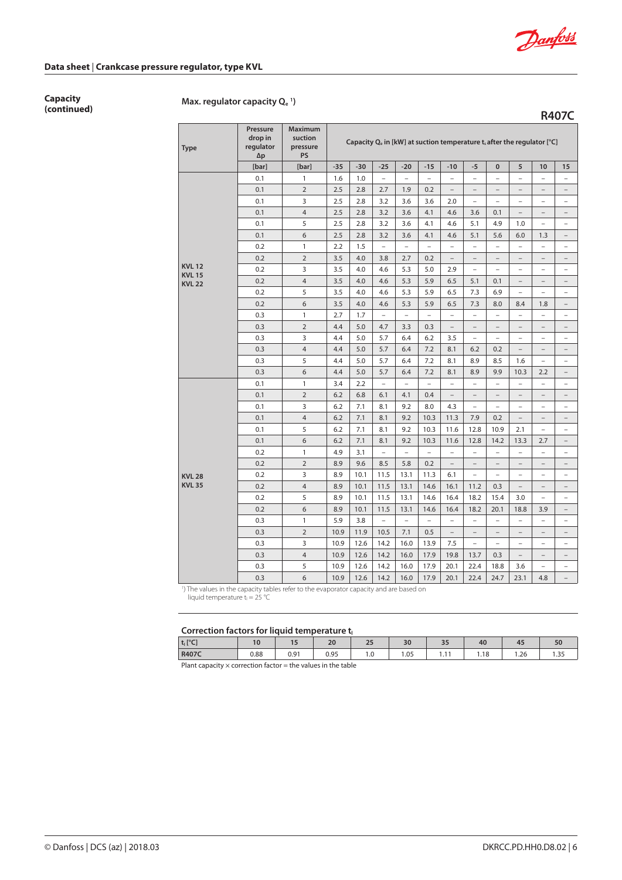

**R407C**

### **Data sheet** | **Crankcase pressure regulator, type KVL**

**Capacity**

# **(continued) Max. regulator capacity Qe <sup>1</sup> )**

**Type Pressure drop in regulator ∆p Maximum suction pressure PS** Capacity Q<sub>e</sub> in [kW] at suction temperature t<sub>s</sub> after the regulator [°C] **[bar] [bar] -35 -30 -25 -20 -15 -10 -5 0 5 10 15 KVL 12 KVL 15 KVL 22** 0.1 | 1 | 1.6 | 1.0 | - | - | - | - | - | - | - | -0.1 | 2 | 2.5 | 2.8 | 2.7 | 1.9 | 0.2 | – | – | – | – | – | – 0.1 3 2.5 2.8 3.2 3.6 3.6 2.0 – – – – – 0.1 4 2.5 2.8 3.2 3.6 4.1 4.6 3.6 0.1 – – – 0.1 5 2.5 2.8 3.2 3.6 4.1 4.6 5.1 4.9 1.0 – – 0.1 | 6 | 2.5 | 2.8 | 3.2 | 3.6 | 4.1 | 4.6 | 5.1 | 5.6 | 6.0 | 1.3 | -0.2 | 1 | 2.2 | 1.5 | - | - | - | - | - | - | - | - | -0.2 2 3.5 4.0 3.8 2.7 0.2 – – – – – – 0.2  $\vert$  3  $\vert$  3.5  $\vert$  4.0  $\vert$  4.6  $\vert$  5.3  $\vert$  5.0  $\vert$  2.9  $\vert$  -  $\vert$  -  $\vert$  -  $\vert$  -  $\vert$  -0.2  $\vert$  4  $\vert$  3.5  $\vert$  4.0  $\vert$  4.6  $\vert$  5.3  $\vert$  5.9  $\vert$  6.5  $\vert$  5.1  $\vert$  0.1  $\vert$  -  $\vert$  -  $\vert$  -0.2  $\vert$  5  $\vert$  3.5  $\vert$  4.0  $\vert$  4.6  $\vert$  5.3  $\vert$  5.9  $\vert$  6.5  $\vert$  7.3  $\vert$  6.9  $\vert$  -  $\vert$  -  $\vert$  -0.2 6 3.5 4.0 4.6 5.3 5.9 6.5 7.3 8.0 8.4 1.8 – 0.3 | 1 | 2.7 | 1.7 | – | – | – | – | – | – | – | – | – 0.3 2 4.4 5.0 4.7 3.3 0.3 – – – – – – 0.3 3 4.4 5.0 5.7 6.4 6.2 3.5 – – – – – 0.3 4 4.4 5.0 5.7 6.4 7.2 8.1 6.2 0.2 – – – 0.3  $\begin{array}{|c|c|c|c|c|c|c|c|c|} \hline \end{array}$  5.0  $\begin{array}{|c|c|c|c|c|c|c|c|c|} \hline \end{array}$  5.7 | 6.4 | 7.2 | 8.1 | 8.9 | 8.5 | 1.6 | - | -0.3 6  $\begin{array}{|c|c|c|c|c|c|c|c|c|} \hline \end{array}$  6.4  $\begin{array}{|c|c|c|c|c|c|c|c|c|} \hline \end{array}$  6.4  $\begin{array}{|c|c|c|c|c|c|c|c|} \hline \end{array}$  6.4  $\begin{array}{|c|c|c|c|c|c|c|c|} \hline \end{array}$  6.4  $\begin{array}{|c|c|c|c|c|c|c|c|} \hline \end{array}$  6.4  $\begin{array}{|c|c|c|c|c|c|c|$ **KVL 28 KVL 35** 0.1 | 1 | 3.4 | 2.2 | - | - | - | - | - | - | - | -0.1 | 2 | 6.2 | 6.8 | 6.1 | 4.1 | 0.4 | – | – | – | – | – | – 0.1 3 6.2 7.1 8.1 9.2 8.0 4.3 – – – – – 0.1 4 6.2 7.1 8.1 9.2 10.3 11.3 7.9 0.2 – – – 0.1  $\begin{array}{|c|c|c|c|c|c|c|c|c|} \hline \end{array}$  5  $\begin{array}{|c|c|c|c|c|c|c|c|c|} \hline \end{array}$  6.2  $\begin{array}{|c|c|c|c|c|c|c|c|c|} \hline \end{array}$  8.1  $\begin{array}{|c|c|c|c|c|c|c|c|} \hline \end{array}$  11.6  $\begin{array}{|c|c|c|c|c|c|c|c|} \hline \end{array}$  10.9  $\begin{array}{|c|c|c|c|c|c|c|$ 0.1  $\begin{array}{|c|c|c|c|c|c|c|c|c|} \hline \end{array}$  6  $\begin{array}{|c|c|c|c|c|c|c|c|c|} \hline \end{array}$  6.2 | 7.1 | 8.1 | 9.2 | 10.3 | 11.6 | 12.8 | 14.2 | 13.3 | 2.7 | -0.2 | 1 | 4.9 | 3.1 | – | – | – | – | – | – | – | – | – 0.2 2 8.9 9.6 8.5 5.8 0.2 – – – – – – 0.2 3 8.9 10.1 11.5 13.1 11.3 6.1 – – – – – 0.2 4 8.9 10.1 11.5 13.1 14.6 16.1 11.2 0.3 – – – 0.2 5 8.9 10.1 11.5 13.1 14.6 16.4 18.2 15.4 3.0 – – 0.2 6 8.9 10.1 11.5 13.1 14.6 16.4 18.2 20.1 18.8 3.9 – 0.3 | 1 | 5.9 | 3.8 | – | – | – | – | – | – | – | – | – 0.3  $\vert$  2  $\vert$  10.9  $\vert$  11.9  $\vert$  10.5  $\vert$  7.1  $\vert$  0.5  $\vert$  -  $\vert$  -  $\vert$  -  $\vert$  -  $\vert$  -  $\vert$  -0.3  $\vert$  3 | 10.9 | 12.6 | 14.2 | 16.0 | 13.9 | 7.5 | – | – | – | – | – 0.3  $\vert$  4 | 10.9 | 12.6 | 14.2 | 16.0 | 17.9 | 19.8 | 13.7 | 0.3 | - | - | -0.3  $\vert$  5  $\vert$  10.9 | 12.6 | 14.2 | 16.0 | 17.9 | 20.1 | 22.4 | 18.8 | 3.6 | - | -0.3 6 10.9 12.6 14.2 16.0 17.9 20.1 22.4 24.7 23.1 4.8 –

1 ) The values in the capacity tables refer to the evaporator capacity and are based on

liquid temperature  $t_1 = 25$  °C

#### Correction factors for liquid temperature to

| ---------  | -------  |                      |                     |                     |     |              |                |                     |                     |
|------------|----------|----------------------|---------------------|---------------------|-----|--------------|----------------|---------------------|---------------------|
| $t_1$ [°C] | 10<br>ιu | $\sim$ $\sim$<br>. . | 20                  | $\sim$ $\sim$<br>رے | 30  | $\sim$<br>-- | 4 <sub>0</sub> | $\sim$ $\sim$<br>4. | $-0$<br>ov          |
| R407C      | 0.88     | 0.91                 | n 95<br><b>U.JJ</b> | 1.0                 | .05 | - -<br>.     | . 18           | $\sim$<br>1.ZG      | $\sim$ $-$<br>ر ر., |
| $-1$       | $\sim$   |                      | .                   |                     |     |              |                |                     |                     |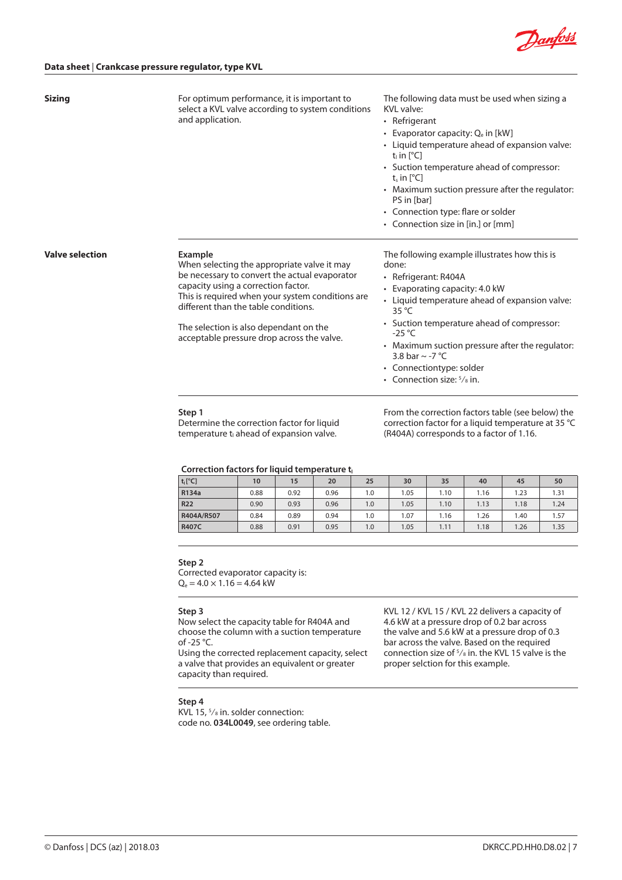

| <b>Sizing</b>          | For optimum performance, it is important to<br>select a KVL valve according to system conditions<br>and application.                                                                                                                                                                                                               | The following data must be used when sizing a<br>KVI valve:<br>• Refrigerant<br>• Evaporator capacity: Qe in [kW]<br>• Liquid temperature ahead of expansion valve:<br>$t_i$ in $[^{\circ}C]$<br>• Suction temperature ahead of compressor:<br>$t_{s}$ in [ $^{\circ}$ C]<br>• Maximum suction pressure after the regulator:<br>PS in [bar]<br>• Connection type: flare or solder<br>• Connection size in [in.] or [mm] |
|------------------------|------------------------------------------------------------------------------------------------------------------------------------------------------------------------------------------------------------------------------------------------------------------------------------------------------------------------------------|-------------------------------------------------------------------------------------------------------------------------------------------------------------------------------------------------------------------------------------------------------------------------------------------------------------------------------------------------------------------------------------------------------------------------|
| <b>Valve selection</b> | Example<br>When selecting the appropriate valve it may<br>be necessary to convert the actual evaporator<br>capacity using a correction factor.<br>This is required when your system conditions are<br>different than the table conditions.<br>The selection is also dependant on the<br>acceptable pressure drop across the valve. | The following example illustrates how this is<br>done:<br>• Refrigerant: R404A<br>Evaporating capacity: 4.0 kW<br>• Liquid temperature ahead of expansion valve:<br>$35^{\circ}$ C<br>• Suction temperature ahead of compressor:<br>$-25$ °C<br>• Maximum suction pressure after the regulator:<br>3.8 bar $\sim$ -7 °C<br>• Connectiontype: solder<br>• Connection size: $5\frac{1}{8}$ in.                            |

#### **Step 1**

Determine the correction factor for liquid temperature  $t_{\parallel}$  ahead of expansion valve.

From the correction factors table (see below) the correction factor for a liquid temperature at 35 °C (R404A) corresponds to a factor of 1.16.

#### Correction factors for liquid temperature to

| $t_1[^{\circ}C]$ | 10   | 15   | 20   | 25  | 30    | 35   | 40   | 45   | 50   |
|------------------|------|------|------|-----|-------|------|------|------|------|
| R134a            | 0.88 | 0.92 | 0.96 | 1.0 | 05. ا | 1.10 | 1.16 | 1.23 | 1.31 |
| <b>R22</b>       | 0.90 | 0.93 | 0.96 | 1.0 | 1.05  | 1.10 | 1.13 | 1.18 | 1.24 |
| R404A/R507       | 0.84 | 0.89 | 0.94 | 1.0 | 1.07  | 1.16 | .26  | 1.40 | 1.57 |
| <b>R407C</b>     | 0.88 | 0.91 | 0.95 | 1.0 | 1.05  | 1.11 | 1.18 | 1.26 | 1.35 |

#### **Step 2**

Corrected evaporator capacity is:  $Q_e = 4.0 \times 1.16 = 4.64$  kW

#### **Step 3**

Now select the capacity table for R404A and choose the column with a suction temperature of -25 °C.

Using the corrected replacement capacity, select a valve that provides an equivalent or greater capacity than required.

KVL 12 / KVL 15 / KVL 22 delivers a capacity of 4.6 kW at a pressure drop of 0.2 bar across the valve and 5.6 kW at a pressure drop of 0.3 bar across the valve. Based on the required connection size of 5 ⁄8 in. the KVL 15 valve is the proper selction for this example.

## **Step 4**

KVL 15, 5 ⁄8 in. solder connection: code no. **034L0049**, see ordering table.

© Danfoss | DCS (az) | 2018.03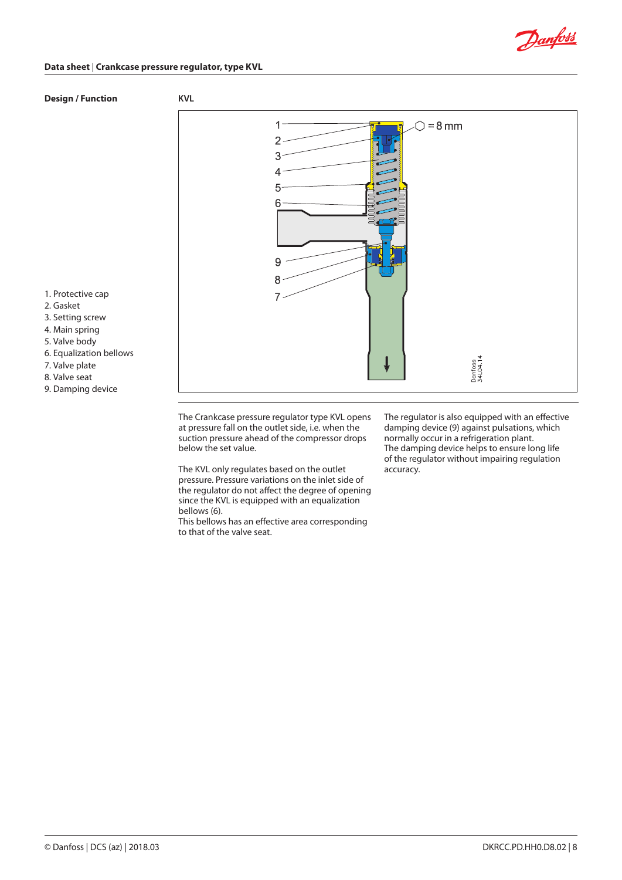

## **Data sheet** | **Crankcase pressure regulator, type KVL**

# **Design / Function KVL**



1. Protective cap

- 2. Gasket
- 3. Setting screw
- 4. Main spring
- 5. Valve body
- 6. Equalization bellows
- 7. Valve plate
- 8. Valve seat
- 9. Damping device

The Crankcase pressure regulator type KVL opens at pressure fall on the outlet side, i.e. when the suction pressure ahead of the compressor drops below the set value.

The KVL only regulates based on the outlet pressure. Pressure variations on the inlet side of the regulator do not affect the degree of opening since the KVL is equipped with an equalization bellows (6).

This bellows has an effective area corresponding to that of the valve seat.

The regulator is also equipped with an effective damping device (9) against pulsations, which normally occur in a refrigeration plant. The damping device helps to ensure long life of the regulator without impairing regulation accuracy.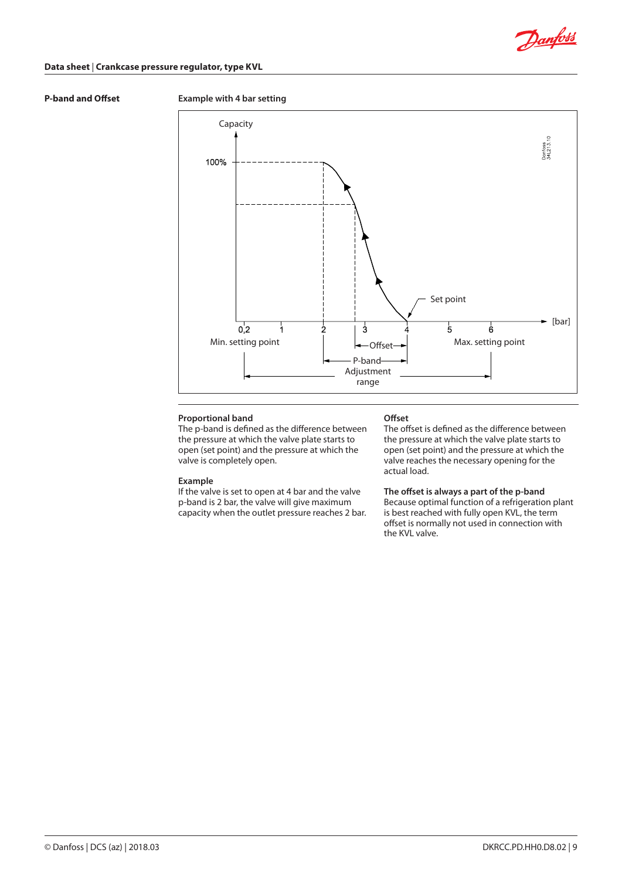

## **Data sheet** | **Crankcase pressure regulator, type KVL**

# **P-band and Offset Example with 4 bar setting**



## **Proportional band**

The p-band is defined as the difference between the pressure at which the valve plate starts to open (set point) and the pressure at which the valve is completely open.

#### **Example**

If the valve is set to open at 4 bar and the valve p-band is 2 bar, the valve will give maximum capacity when the outlet pressure reaches 2 bar.

### **Offset**

The offset is defined as the difference between the pressure at which the valve plate starts to open (set point) and the pressure at which the valve reaches the necessary opening for the actual load.

#### **The offset is always a part of the p-band**

Because optimal function of a refrigeration plant is best reached with fully open KVL, the term offset is normally not used in connection with the KVL valve.